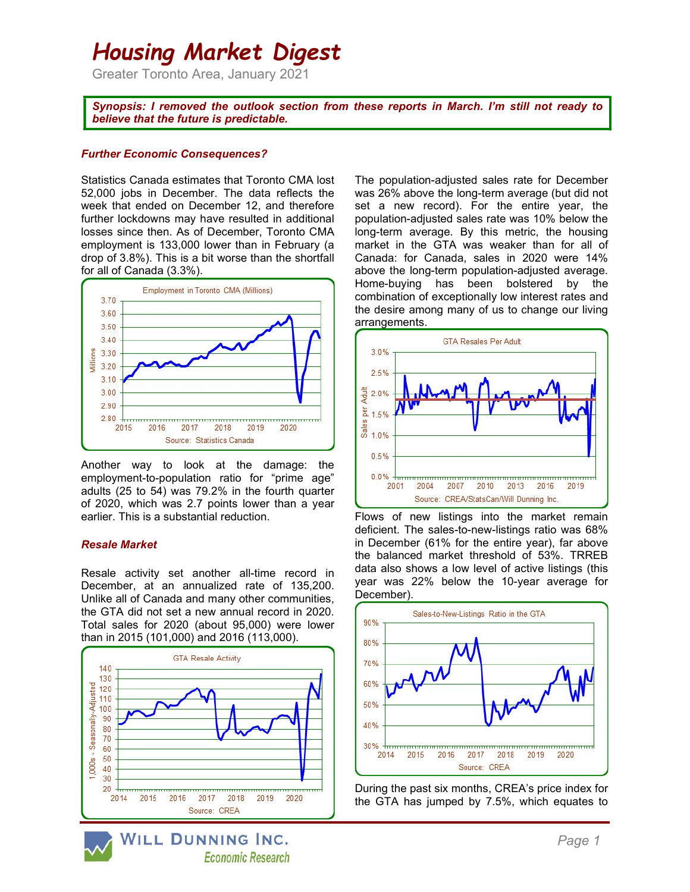# Housing Market Digest

Greater Toronto Area, January 2021

Synopsis: I removed the outlook section from these reports in March. I'm still not ready to believe that the future is predictable.

#### Further Economic Consequences?

Statistics Canada estimates that Toronto CMA lost 52,000 jobs in December. The data reflects the week that ended on December 12, and therefore further lockdowns may have resulted in additional losses since then. As of December, Toronto CMA employment is 133,000 lower than in February (a drop of 3.8%). This is a bit worse than the shortfall for all of Canada (3.3%).



Another way to look at the damage: the employment-to-population ratio for "prime age" adults (25 to 54) was 79.2% in the fourth quarter of 2020, which was 2.7 points lower than a year earlier. This is a substantial reduction.

#### Resale Market

Resale activity set another all-time record in December, at an annualized rate of 135,200. Unlike all of Canada and many other communities, the GTA did not set a new annual record in 2020. Total sales for 2020 (about 95,000) were lower than in 2015 (101,000) and 2016 (113,000).



WILL DUNNING INC. **Economic Research**  The population-adjusted sales rate for December was 26% above the long-term average (but did not set a new record). For the entire year, the population-adjusted sales rate was 10% below the long-term average. By this metric, the housing market in the GTA was weaker than for all of Canada: for Canada, sales in 2020 were 14% above the long-term population-adjusted average. Home-buying has been bolstered by the combination of exceptionally low interest rates and the desire among many of us to change our living arrangements.



Flows of new listings into the market remain deficient. The sales-to-new-listings ratio was 68% in December (61% for the entire year), far above the balanced market threshold of 53%. TRREB data also shows a low level of active listings (this year was 22% below the 10-year average for December).



During the past six months, CREA's price index for the GTA has jumped by 7.5%, which equates to